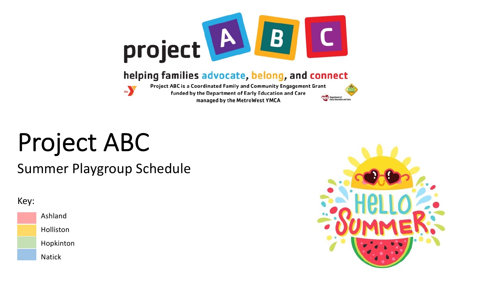

#### helping families advocate, belong, and connect



Project ABC is a Coordinated Family and Community Engagement Grant funded by the Department of Early Education and Care managed by the MetroWest YMCA

# Project ABC

Summer Playgroup Schedule

#### Key:







Department of<br>Early Education as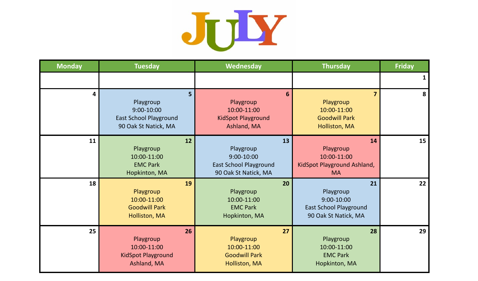

| <b>Monday</b> | <b>Tuesday</b>                                                                                     | <b>Wednesday</b>                                                                       | <b>Thursday</b>                                                                        | <b>Friday</b> |
|---------------|----------------------------------------------------------------------------------------------------|----------------------------------------------------------------------------------------|----------------------------------------------------------------------------------------|---------------|
|               |                                                                                                    |                                                                                        |                                                                                        |               |
| 4             | 5 <sup>1</sup><br>Playgroup<br>9:00-10:00<br><b>East School Playground</b><br>90 Oak St Natick, MA | 6<br>Playgroup<br>10:00-11:00<br><b>KidSpot Playground</b><br>Ashland, MA              | $\overline{7}$<br>Playgroup<br>10:00-11:00<br><b>Goodwill Park</b><br>Holliston, MA    | 8             |
| 11            | 12<br>Playgroup<br>10:00-11:00<br><b>EMC Park</b><br>Hopkinton, MA                                 | 13<br>Playgroup<br>9:00-10:00<br><b>East School Playground</b><br>90 Oak St Natick, MA | 14<br>Playgroup<br>10:00-11:00<br>KidSpot Playground Ashland,<br><b>MA</b>             | 15            |
| 18            | 19<br>Playgroup<br>10:00-11:00<br><b>Goodwill Park</b><br>Holliston, MA                            | 20<br>Playgroup<br>10:00-11:00<br><b>EMC Park</b><br>Hopkinton, MA                     | 21<br>Playgroup<br>9:00-10:00<br><b>East School Playground</b><br>90 Oak St Natick, MA | 22            |
| 25            | 26<br>Playgroup<br>10:00-11:00<br><b>KidSpot Playground</b><br>Ashland, MA                         | 27<br>Playgroup<br>10:00-11:00<br><b>Goodwill Park</b><br>Holliston, MA                | 28<br>Playgroup<br>10:00-11:00<br><b>EMC Park</b><br>Hopkinton, MA                     | 29            |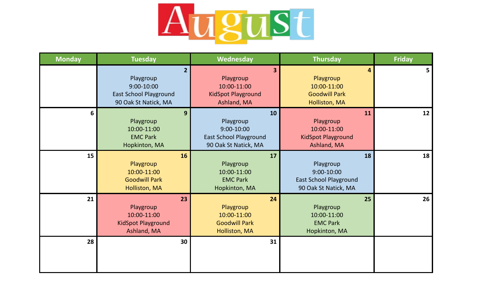

| <b>Monday</b>   | <b>Tuesday</b>                                                                                       | <b>Wednesday</b>                                                                                | <b>Thursday</b>                                                                        | <b>Friday</b> |
|-----------------|------------------------------------------------------------------------------------------------------|-------------------------------------------------------------------------------------------------|----------------------------------------------------------------------------------------|---------------|
|                 | $2 \overline{ }$<br>Playgroup<br>9:00-10:00<br><b>East School Playground</b><br>90 Oak St Natick, MA | $\overline{\mathbf{3}}$<br>Playgroup<br>10:00-11:00<br><b>KidSpot Playground</b><br>Ashland, MA | 4<br>Playgroup<br>10:00-11:00<br><b>Goodwill Park</b><br>Holliston, MA                 | 5             |
| 6               | 9<br>Playgroup<br>10:00-11:00<br><b>EMC Park</b><br>Hopkinton, MA                                    | 10<br>Playgroup<br>$9:00 - 10:00$<br><b>East School Playground</b><br>90 Oak St Natick, MA      | 11<br>Playgroup<br>10:00-11:00<br><b>KidSpot Playground</b><br>Ashland, MA             | 12            |
| 15 <sup>1</sup> | <b>16</b><br>Playgroup<br>10:00-11:00<br><b>Goodwill Park</b><br>Holliston, MA                       | 17<br>Playgroup<br>10:00-11:00<br><b>EMC Park</b><br>Hopkinton, MA                              | 18<br>Playgroup<br>9:00-10:00<br><b>East School Playground</b><br>90 Oak St Natick, MA | 18            |
| 21              | 23<br>Playgroup<br>10:00-11:00<br>KidSpot Playground<br>Ashland, MA                                  | 24<br>Playgroup<br>10:00-11:00<br><b>Goodwill Park</b><br>Holliston, MA                         | 25<br>Playgroup<br>10:00-11:00<br><b>EMC Park</b><br>Hopkinton, MA                     | 26            |
| 28              | 30                                                                                                   | 31                                                                                              |                                                                                        |               |